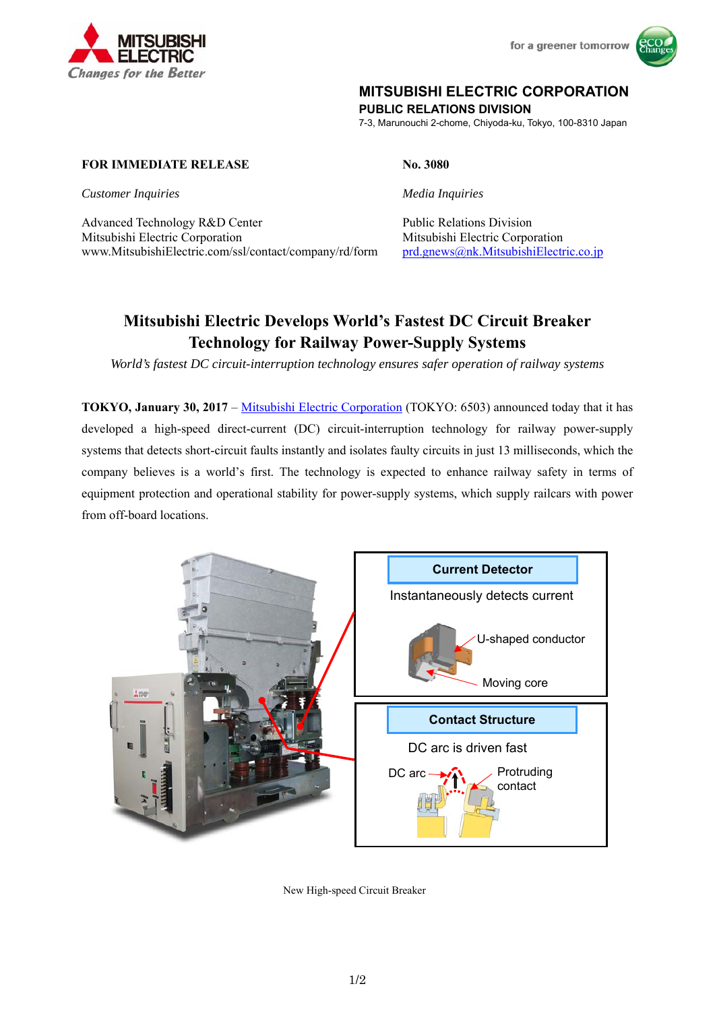



# **MITSUBISHI ELECTRIC CORPORATION**

**PUBLIC RELATIONS DIVISION** 

7-3, Marunouchi 2-chome, Chiyoda-ku, Tokyo, 100-8310 Japan

## **FOR IMMEDIATE RELEASE No. 3080**

**Customer Inquiries** Media Inquiries **Media Inquiries** 

Advanced Technology R&D Center Public Relations Division Mitsubishi Electric Corporation Mitsubishi Electric Corporation www.MitsubishiElectric.com/ssl/contact/company/rd/form prd.gnews@nk.MitsubishiElectric.co.jp

# **Mitsubishi Electric Develops World's Fastest DC Circuit Breaker Technology for Railway Power-Supply Systems**

*World's fastest DC circuit-interruption technology ensures safer operation of railway systems* 

**TOKYO, January 30, 2017** – Mitsubishi Electric Corporation (TOKYO: 6503) announced today that it has developed a high-speed direct-current (DC) circuit-interruption technology for railway power-supply systems that detects short-circuit faults instantly and isolates faulty circuits in just 13 milliseconds, which the company believes is a world's first. The technology is expected to enhance railway safety in terms of equipment protection and operational stability for power-supply systems, which supply railcars with power from off-board locations.



New High-speed Circuit Breaker